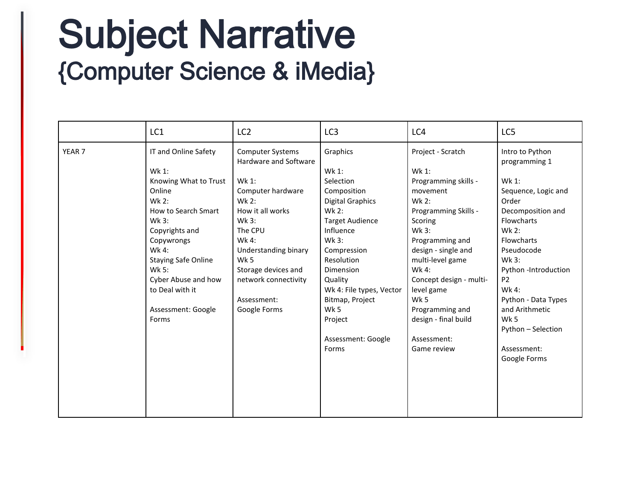## Subject Narrative<br>{Computer Science & iMedia}

|                   | LC1                           | LC <sub>2</sub>                                  | LC <sub>3</sub>          | LC4                        | LC5                              |
|-------------------|-------------------------------|--------------------------------------------------|--------------------------|----------------------------|----------------------------------|
| YEAR <sub>7</sub> | IT and Online Safety<br>Wk 1: | <b>Computer Systems</b><br>Hardware and Software | Graphics<br>Wk 1:        | Project - Scratch<br>Wk 1: | Intro to Python<br>programming 1 |
|                   | Knowing What to Trust         | Wk 1:                                            | Selection                | Programming skills -       | Wk 1:                            |
|                   | Online                        | Computer hardware                                | Composition              | movement                   | Sequence, Logic and              |
|                   | Wk $2:$                       | Wk 2:                                            | <b>Digital Graphics</b>  | Wk 2:                      | Order                            |
|                   | How to Search Smart           | How it all works                                 | Wk 2:                    | Programming Skills -       | Decomposition and                |
|                   | Wk 3:                         | Wk 3:                                            | <b>Target Audience</b>   | Scoring                    | Flowcharts                       |
|                   | Copyrights and                | The CPU                                          | Influence                | Wk 3:                      | Wk 2:                            |
|                   | Copywrongs                    | Wk 4:                                            | Wk 3:                    | Programming and            | <b>Flowcharts</b>                |
|                   | Wk 4:                         | Understanding binary                             | Compression              | design - single and        | Pseudocode                       |
|                   | <b>Staying Safe Online</b>    | Wk 5                                             | Resolution               | multi-level game           | Wk 3:                            |
|                   | Wk 5:                         | Storage devices and                              | Dimension                | Wk 4:                      | Python-Introduction              |
|                   | Cyber Abuse and how           | network connectivity                             | Quality                  | Concept design - multi-    | P <sub>2</sub>                   |
|                   | to Deal with it               |                                                  | Wk 4: File types, Vector | level game                 | Wk 4:                            |
|                   |                               | Assessment:                                      | Bitmap, Project          | Wk 5                       | Python - Data Types              |
|                   | Assessment: Google            | Google Forms                                     | Wk 5                     | Programming and            | and Arithmetic                   |
|                   | Forms                         |                                                  | Project                  | design - final build       | Wk 5                             |
|                   |                               |                                                  |                          |                            | Python - Selection               |
|                   |                               |                                                  | Assessment: Google       | Assessment:                |                                  |
|                   |                               |                                                  | Forms                    | Game review                | Assessment:                      |
|                   |                               |                                                  |                          |                            | Google Forms                     |
|                   |                               |                                                  |                          |                            |                                  |
|                   |                               |                                                  |                          |                            |                                  |
|                   |                               |                                                  |                          |                            |                                  |
|                   |                               |                                                  |                          |                            |                                  |
|                   |                               |                                                  |                          |                            |                                  |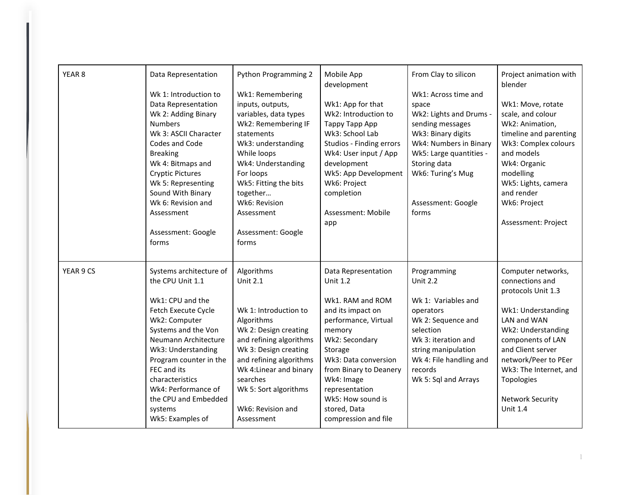| YEAR <sub>8</sub> | Data Representation<br>Wk 1: Introduction to<br>Data Representation<br>Wk 2: Adding Binary<br><b>Numbers</b><br>Wk 3: ASCII Character<br>Codes and Code<br><b>Breaking</b><br>Wk 4: Bitmaps and<br><b>Cryptic Pictures</b><br>Wk 5: Representing<br>Sound With Binary<br>Wk 6: Revision and<br>Assessment<br>Assessment: Google<br>forms | Python Programming 2<br>Wk1: Remembering<br>inputs, outputs,<br>variables, data types<br>Wk2: Remembering IF<br>statements<br>Wk3: understanding<br>While loops<br>Wk4: Understanding<br>For loops<br>Wk5: Fitting the bits<br>together<br>Wk6: Revision<br>Assessment<br>Assessment: Google<br>forms | Mobile App<br>development<br>Wk1: App for that<br>Wk2: Introduction to<br>Tappy Tapp App<br>Wk3: School Lab<br>Studios - Finding errors<br>Wk4: User input / App<br>development<br>Wk5: App Development<br>Wk6: Project<br>completion<br>Assessment: Mobile<br>app                            | From Clay to silicon<br>Wk1: Across time and<br>space<br>Wk2: Lights and Drums -<br>sending messages<br>Wk3: Binary digits<br>Wk4: Numbers in Binary<br>Wk5: Large quantities -<br>Storing data<br>Wk6: Turing's Mug<br>Assessment: Google<br>forms | Project animation with<br>blender<br>Wk1: Move, rotate<br>scale, and colour<br>Wk2: Animation,<br>timeline and parenting<br>Wk3: Complex colours<br>and models<br>Wk4: Organic<br>modelling<br>Wk5: Lights, camera<br>and render<br>Wk6: Project<br>Assessment: Project        |
|-------------------|------------------------------------------------------------------------------------------------------------------------------------------------------------------------------------------------------------------------------------------------------------------------------------------------------------------------------------------|-------------------------------------------------------------------------------------------------------------------------------------------------------------------------------------------------------------------------------------------------------------------------------------------------------|-----------------------------------------------------------------------------------------------------------------------------------------------------------------------------------------------------------------------------------------------------------------------------------------------|-----------------------------------------------------------------------------------------------------------------------------------------------------------------------------------------------------------------------------------------------------|--------------------------------------------------------------------------------------------------------------------------------------------------------------------------------------------------------------------------------------------------------------------------------|
| YEAR 9 CS         | Systems architecture of<br>the CPU Unit 1.1<br>Wk1: CPU and the<br>Fetch Execute Cycle<br>Wk2: Computer<br>Systems and the Von<br>Neumann Architecture<br>Wk3: Understanding<br>Program counter in the<br>FEC and its<br>characteristics<br>Wk4: Performance of<br>the CPU and Embedded<br>systems<br>Wk5: Examples of                   | Algorithms<br><b>Unit 2.1</b><br>Wk 1: Introduction to<br>Algorithms<br>Wk 2: Design creating<br>and refining algorithms<br>Wk 3: Design creating<br>and refining algorithms<br>Wk 4: Linear and binary<br>searches<br>Wk 5: Sort algorithms<br>Wk6: Revision and<br>Assessment                       | Data Representation<br><b>Unit 1.2</b><br>Wk1. RAM and ROM<br>and its impact on<br>performance, Virtual<br>memory<br>Wk2: Secondary<br>Storage<br>Wk3: Data conversion<br>from Binary to Deanery<br>Wk4: Image<br>representation<br>Wk5: How sound is<br>stored, Data<br>compression and file | Programming<br><b>Unit 2.2</b><br>Wk 1: Variables and<br>operators<br>Wk 2: Sequence and<br>selection<br>Wk 3: iteration and<br>string manipulation<br>Wk 4: File handling and<br>records<br>Wk 5: Sql and Arrays                                   | Computer networks,<br>connections and<br>protocols Unit 1.3<br>Wk1: Understanding<br>LAN and WAN<br>Wk2: Understanding<br>components of LAN<br>and Client server<br>network/Peer to PEer<br>Wk3: The Internet, and<br>Topologies<br><b>Network Security</b><br><b>Unit 1.4</b> |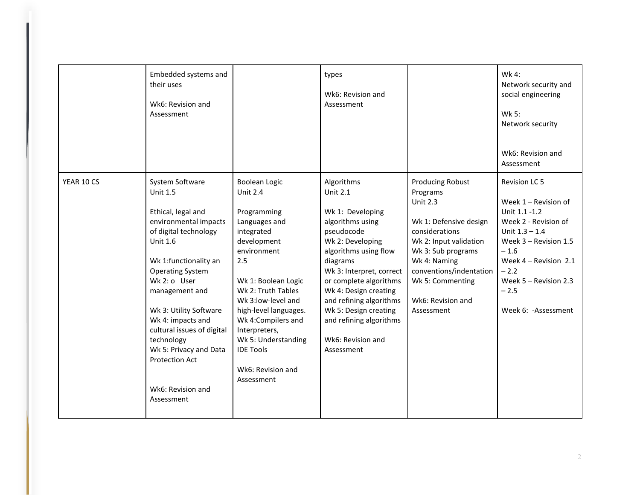|            | Embedded systems and<br>their uses<br>Wk6: Revision and<br>Assessment                                                                                                                                                                                                                                                                                                                         |                                                                                                                                                                                                                                                                                                                                              | types<br>Wk6: Revision and<br>Assessment                                                                                                                                                                                                                                                                                                      |                                                                                                                                                                                                                                                      | Wk 4:<br>Network security and<br>social engineering<br>Wk 5:<br>Network security<br>Wk6: Revision and<br>Assessment                                                                                                                   |
|------------|-----------------------------------------------------------------------------------------------------------------------------------------------------------------------------------------------------------------------------------------------------------------------------------------------------------------------------------------------------------------------------------------------|----------------------------------------------------------------------------------------------------------------------------------------------------------------------------------------------------------------------------------------------------------------------------------------------------------------------------------------------|-----------------------------------------------------------------------------------------------------------------------------------------------------------------------------------------------------------------------------------------------------------------------------------------------------------------------------------------------|------------------------------------------------------------------------------------------------------------------------------------------------------------------------------------------------------------------------------------------------------|---------------------------------------------------------------------------------------------------------------------------------------------------------------------------------------------------------------------------------------|
| YEAR 10 CS | System Software<br><b>Unit 1.5</b><br>Ethical, legal and<br>environmental impacts<br>of digital technology<br>Unit 1.6<br>Wk 1:functionality an<br><b>Operating System</b><br>Wk 2: o User<br>management and<br>Wk 3: Utility Software<br>Wk 4: impacts and<br>cultural issues of digital<br>technology<br>Wk 5: Privacy and Data<br><b>Protection Act</b><br>Wk6: Revision and<br>Assessment | <b>Boolean Logic</b><br><b>Unit 2.4</b><br>Programming<br>Languages and<br>integrated<br>development<br>environment<br>2.5<br>Wk 1: Boolean Logic<br>Wk 2: Truth Tables<br>Wk 3:low-level and<br>high-level languages.<br>Wk 4: Compilers and<br>Interpreters,<br>Wk 5: Understanding<br><b>IDE Tools</b><br>Wk6: Revision and<br>Assessment | Algorithms<br><b>Unit 2.1</b><br>Wk 1: Developing<br>algorithms using<br>pseudocode<br>Wk 2: Developing<br>algorithms using flow<br>diagrams<br>Wk 3: Interpret, correct<br>or complete algorithms<br>Wk 4: Design creating<br>and refining algorithms<br>Wk 5: Design creating<br>and refining algorithms<br>Wk6: Revision and<br>Assessment | <b>Producing Robust</b><br>Programs<br><b>Unit 2.3</b><br>Wk 1: Defensive design<br>considerations<br>Wk 2: Input validation<br>Wk 3: Sub programs<br>Wk 4: Naming<br>conventions/indentation<br>Wk 5: Commenting<br>Wk6: Revision and<br>Assessment | Revision LC 5<br>Week $1 -$ Revision of<br>Unit 1.1 -1.2<br>Week 2 - Revision of<br>Unit $1.3 - 1.4$<br>Week 3 - Revision 1.5<br>$-1.6$<br>Week 4 - Revision 2.1<br>$-2.2$<br>Week 5 - Revision 2.3<br>$-2.5$<br>Week 6: - Assessment |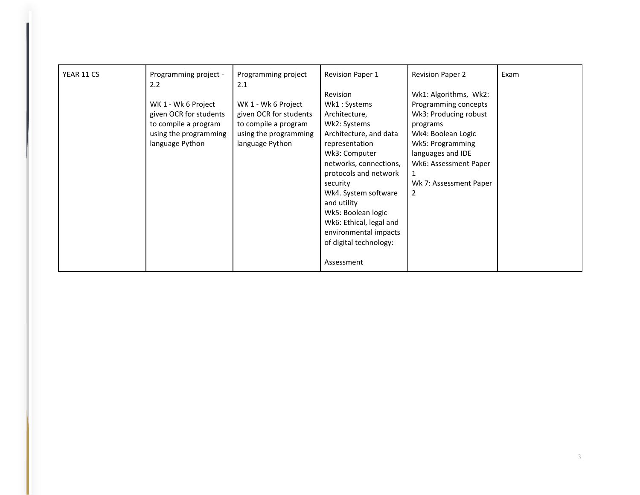| YEAR 11 CS | Programming project -<br>2.2 | Programming project<br>2.1 | <b>Revision Paper 1</b> | <b>Revision Paper 2</b> | Exam |
|------------|------------------------------|----------------------------|-------------------------|-------------------------|------|
|            |                              |                            | Revision                | Wk1: Algorithms, Wk2:   |      |
|            | WK 1 - Wk 6 Project          | WK 1 - Wk 6 Project        | Wk1: Systems            | Programming concepts    |      |
|            | given OCR for students       | given OCR for students     | Architecture,           | Wk3: Producing robust   |      |
|            | to compile a program         | to compile a program       | Wk2: Systems            | programs                |      |
|            | using the programming        | using the programming      | Architecture, and data  | Wk4: Boolean Logic      |      |
|            | language Python              | language Python            | representation          | Wk5: Programming        |      |
|            |                              |                            | Wk3: Computer           | languages and IDE       |      |
|            |                              |                            | networks, connections,  | Wk6: Assessment Paper   |      |
|            |                              |                            | protocols and network   |                         |      |
|            |                              |                            | security                | Wk 7: Assessment Paper  |      |
|            |                              |                            | Wk4. System software    | $\overline{2}$          |      |
|            |                              |                            | and utility             |                         |      |
|            |                              |                            | Wk5: Boolean logic      |                         |      |
|            |                              |                            | Wk6: Ethical, legal and |                         |      |
|            |                              |                            | environmental impacts   |                         |      |
|            |                              |                            | of digital technology:  |                         |      |
|            |                              |                            | Assessment              |                         |      |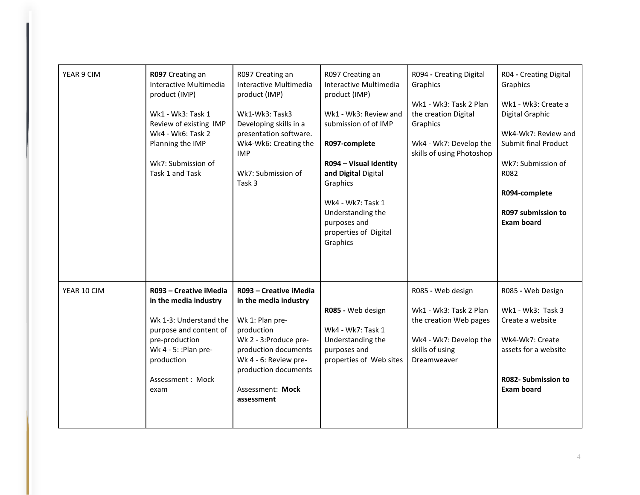| YEAR 9 CIM  | R097 Creating an<br>Interactive Multimedia<br>product (IMP)<br>Wk1 - Wk3: Task 1<br>Review of existing IMP<br>Wk4 - Wk6: Task 2<br>Planning the IMP<br>Wk7: Submission of<br>Task 1 and Task | R097 Creating an<br>Interactive Multimedia<br>product (IMP)<br>Wk1-Wk3: Task3<br>Developing skills in a<br>presentation software.<br>Wk4-Wk6: Creating the<br><b>IMP</b><br>Wk7: Submission of<br>Task <sub>3</sub>  | R097 Creating an<br>Interactive Multimedia<br>product (IMP)<br>Wk1 - Wk3: Review and<br>submission of of IMP<br>R097-complete<br>R094 - Visual Identity<br>and Digital Digital<br>Graphics<br>Wk4 - Wk7: Task 1<br>Understanding the<br>purposes and<br>properties of Digital<br>Graphics | R094 - Creating Digital<br>Graphics<br>Wk1 - Wk3: Task 2 Plan<br>the creation Digital<br>Graphics<br>Wk4 - Wk7: Develop the<br>skills of using Photoshop | R04 - Creating Digital<br>Graphics<br>Wk1 - Wk3: Create a<br>Digital Graphic<br>Wk4-Wk7: Review and<br>Submit final Product<br>Wk7: Submission of<br>R082<br>R094-complete<br>R097 submission to<br><b>Exam board</b> |
|-------------|----------------------------------------------------------------------------------------------------------------------------------------------------------------------------------------------|----------------------------------------------------------------------------------------------------------------------------------------------------------------------------------------------------------------------|-------------------------------------------------------------------------------------------------------------------------------------------------------------------------------------------------------------------------------------------------------------------------------------------|----------------------------------------------------------------------------------------------------------------------------------------------------------|-----------------------------------------------------------------------------------------------------------------------------------------------------------------------------------------------------------------------|
| YEAR 10 CIM | R093 - Creative iMedia<br>in the media industry<br>Wk 1-3: Understand the<br>purpose and content of<br>pre-production<br>Wk 4 - 5: : Plan pre-<br>production<br>Assessment: Mock<br>exam     | R093 - Creative iMedia<br>in the media industry<br>Wk 1: Plan pre-<br>production<br>Wk 2 - 3:Produce pre-<br>production documents<br>Wk 4 - 6: Review pre-<br>production documents<br>Assessment: Mock<br>assessment | R085 - Web design<br>Wk4 - Wk7: Task 1<br>Understanding the<br>purposes and<br>properties of Web sites                                                                                                                                                                                    | R085 - Web design<br>Wk1 - Wk3: Task 2 Plan<br>the creation Web pages<br>Wk4 - Wk7: Develop the<br>skills of using<br>Dreamweaver                        | R085 - Web Design<br>Wk1 - Wk3: Task 3<br>Create a website<br>Wk4-Wk7: Create<br>assets for a website<br><b>R082- Submission to</b><br><b>Exam board</b>                                                              |